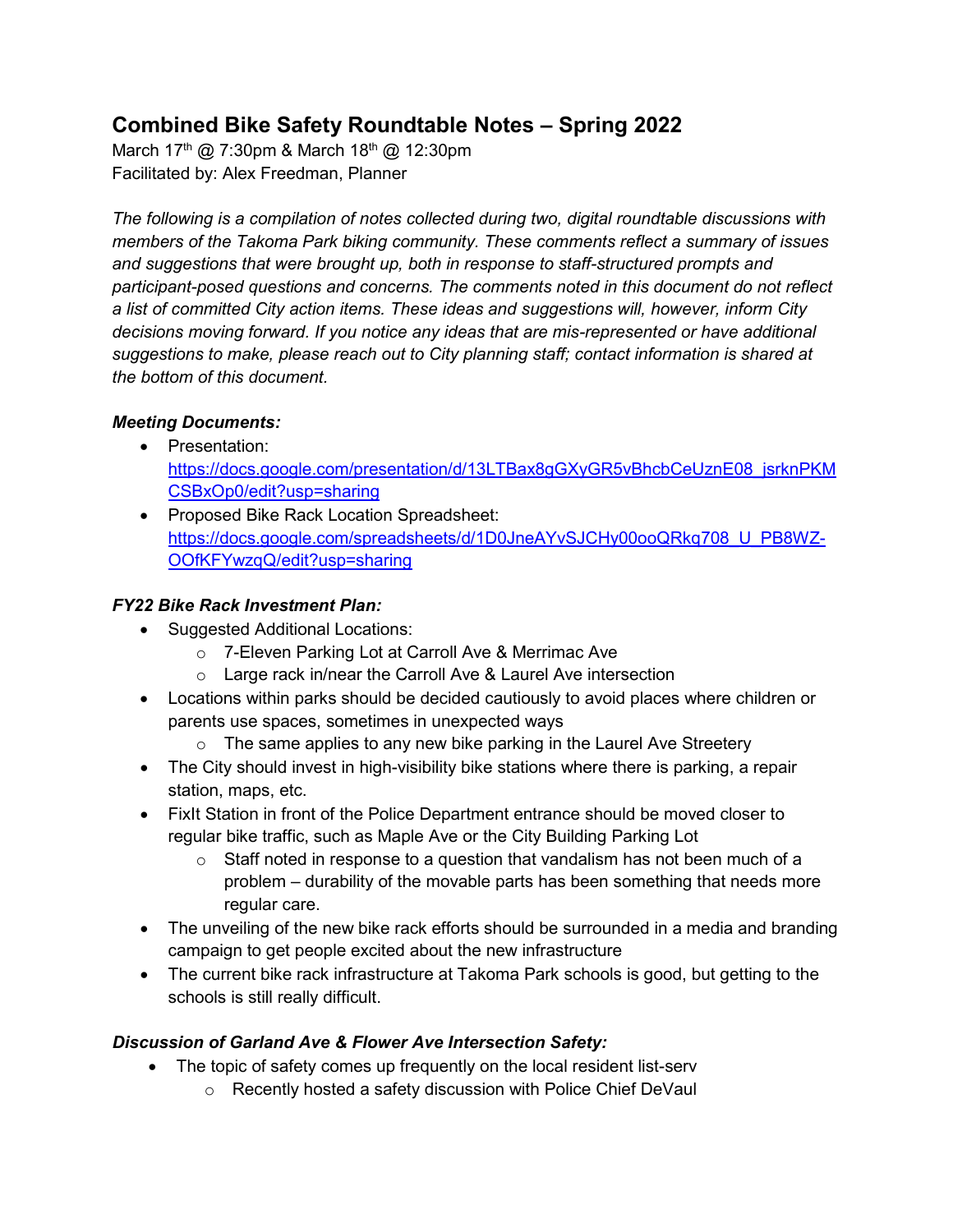# **Combined Bike Safety Roundtable Notes – Spring 2022**

March 17<sup>th</sup> @ 7:30pm & March 18<sup>th</sup> @ 12:30pm Facilitated by: Alex Freedman, Planner

*The following is a compilation of notes collected during two, digital roundtable discussions with members of the Takoma Park biking community. These comments reflect a summary of issues and suggestions that were brought up, both in response to staff-structured prompts and participant-posed questions and concerns. The comments noted in this document do not reflect a list of committed City action items. These ideas and suggestions will, however, inform City decisions moving forward. If you notice any ideas that are mis-represented or have additional suggestions to make, please reach out to City planning staff; contact information is shared at the bottom of this document.*

### *Meeting Documents:*

- Presentation: [https://docs.google.com/presentation/d/13LTBax8gGXyGR5vBhcbCeUznE08\\_jsrknPKM](https://docs.google.com/presentation/d/13LTBax8gGXyGR5vBhcbCeUznE08_jsrknPKMCSBxOp0/edit?usp=sharing) [CSBxOp0/edit?usp=sharing](https://docs.google.com/presentation/d/13LTBax8gGXyGR5vBhcbCeUznE08_jsrknPKMCSBxOp0/edit?usp=sharing)
- Proposed Bike Rack Location Spreadsheet: [https://docs.google.com/spreadsheets/d/1D0JneAYvSJCHy00ooQRkq708\\_U\\_PB8WZ-](https://docs.google.com/spreadsheets/d/1D0JneAYvSJCHy00ooQRkq708_U_PB8WZ-OOfKFYwzqQ/edit?usp=sharing)[OOfKFYwzqQ/edit?usp=sharing](https://docs.google.com/spreadsheets/d/1D0JneAYvSJCHy00ooQRkq708_U_PB8WZ-OOfKFYwzqQ/edit?usp=sharing)

### *FY22 Bike Rack Investment Plan:*

- Suggested Additional Locations:
	- o 7-Eleven Parking Lot at Carroll Ave & Merrimac Ave
	- o Large rack in/near the Carroll Ave & Laurel Ave intersection
- Locations within parks should be decided cautiously to avoid places where children or parents use spaces, sometimes in unexpected ways
	- $\circ$  The same applies to any new bike parking in the Laurel Ave Streetery
- The City should invest in high-visibility bike stations where there is parking, a repair station, maps, etc.
- FixIt Station in front of the Police Department entrance should be moved closer to regular bike traffic, such as Maple Ave or the City Building Parking Lot
	- $\circ$  Staff noted in response to a question that vandalism has not been much of a problem – durability of the movable parts has been something that needs more regular care.
- The unveiling of the new bike rack efforts should be surrounded in a media and branding campaign to get people excited about the new infrastructure
- The current bike rack infrastructure at Takoma Park schools is good, but getting to the schools is still really difficult.

## *Discussion of Garland Ave & Flower Ave Intersection Safety:*

- The topic of safety comes up frequently on the local resident list-serv
	- o Recently hosted a safety discussion with Police Chief DeVaul